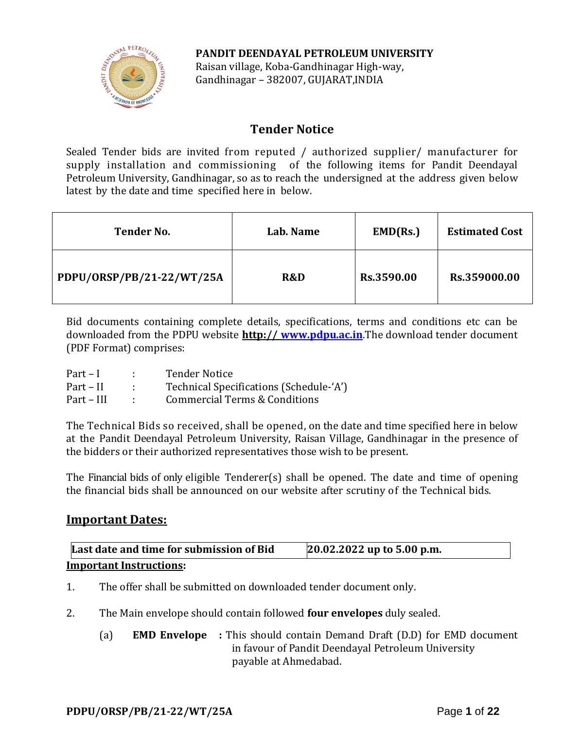

**PANDIT DEENDAYAL PETROLEUM UNIVERSITY** Raisan village, Koba-Gandhinagar High-way, Gandhinagar – 382007, GUJARAT,INDIA

## **Tender Notice**

Sealed Tender bids are invited from reputed / authorized supplier/ manufacturer for supply installation and commissioning of the following items for Pandit Deendayal Petroleum University, Gandhinagar, so as to reach the undersigned at the address given below latest by the date and time specified here in below.

| <b>Tender No.</b>         | Lab. Name | EMD(Rs.)   | <b>Estimated Cost</b> |
|---------------------------|-----------|------------|-----------------------|
| PDPU/ORSP/PB/21-22/WT/25A | R&D       | Rs.3590.00 | Rs.359000.00          |

Bid documents containing complete details, specifications, terms and conditions etc can be downloaded from the PDPU website **http:// [www.pdpu.ac.in](http://www.pdpu.ac.in/)**.The download tender document (PDF Format) comprises:

| $Part - I$ | <b>Tender Notice</b>                     |
|------------|------------------------------------------|
| Part – II  | Technical Specifications (Schedule-'A')  |
| Part – III | <b>Commercial Terms &amp; Conditions</b> |

The Technical Bids so received, shall be opened, on the date and time specified here in below at the Pandit Deendayal Petroleum University, Raisan Village, Gandhinagar in the presence of the bidders or their authorized representatives those wish to be present.

The Financial bids of only eligible Tenderer(s) shall be opened. The date and time of opening the financial bids shall be announced on our website after scrutiny of the Technical bids.

### **Important Dates:**

| Last date and time for submission of Bid | 20.02.2022 up to 5.00 p.m. |
|------------------------------------------|----------------------------|
| <b>Important Instructions:</b>           |                            |

- 1. The offer shall be submitted on downloaded tender document only.
- 2. The Main envelope should contain followed **four envelopes** duly sealed.
	- (a) **EMD Envelope :** This should contain Demand Draft (D.D) for EMD document in favour of Pandit Deendayal Petroleum University payable at Ahmedabad.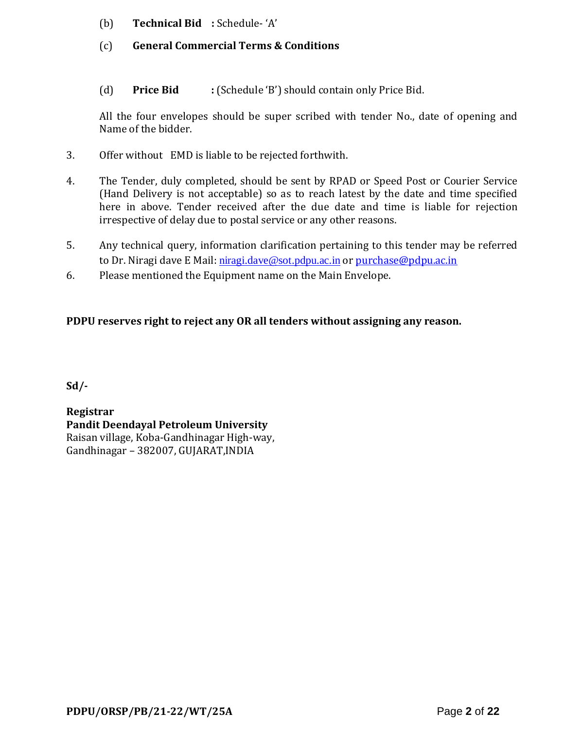- (b) **Technical Bid :** Schedule- 'A'
- (c) **General Commercial Terms & Conditions**
- (d) **Price Bid :** (Schedule 'B') should contain only Price Bid.

All the four envelopes should be super scribed with tender No., date of opening and Name of the bidder.

- 3. Offer without EMD is liable to be rejected forthwith.
- 4. The Tender, duly completed, should be sent by RPAD or Speed Post or Courier Service (Hand Delivery is not acceptable) so as to reach latest by the date and time specified here in above. Tender received after the due date and time is liable for rejection irrespective of delay due to postal service or any other reasons.
- 5. Any technical query, information clarification pertaining to this tender may be referred to Dr. Niragi dave E Mail: [niragi.dave@sot.pdpu.ac.in](mailto:niragi.dave@sot.pdpu.ac.in) or [purchase@pdpu.ac.in](mailto:purchase@pdpu.ac.in)
- 6. Please mentioned the Equipment name on the Main Envelope.

### **PDPU reserves right to reject any OR all tenders without assigning any reason.**

**Sd/-**

**Registrar Pandit Deendayal Petroleum University** Raisan village, Koba-Gandhinagar High-way, Gandhinagar – 382007, GUJARAT,INDIA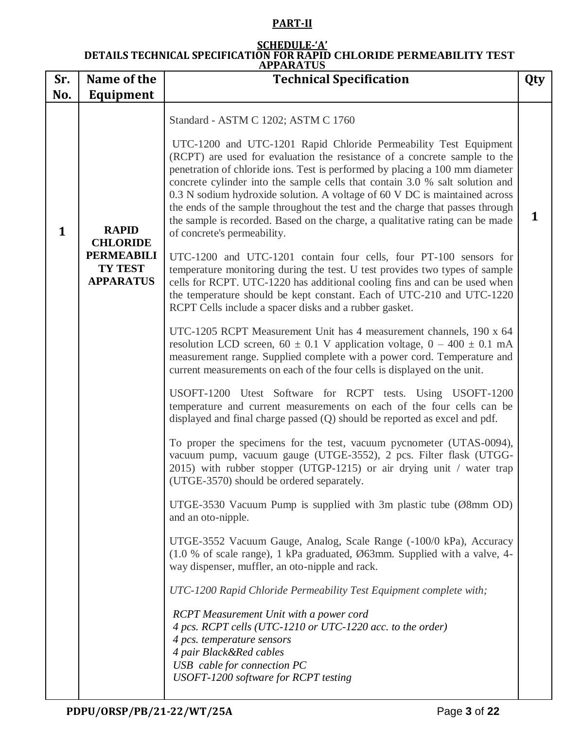### **PART-II**

#### **SCHEDULE-'A' DETAILS TECHNICAL SPECIFICATION FOR RAPID CHLORIDE PERMEABILITY TEST APPARATUS**

|              |                                                         | AIIANA I UJ                                                                                                                                                                                                                                                                                                                                                                                                                                                                                                                                                                                  |   |
|--------------|---------------------------------------------------------|----------------------------------------------------------------------------------------------------------------------------------------------------------------------------------------------------------------------------------------------------------------------------------------------------------------------------------------------------------------------------------------------------------------------------------------------------------------------------------------------------------------------------------------------------------------------------------------------|---|
| Sr.          | Name of the                                             | <b>Technical Specification</b>                                                                                                                                                                                                                                                                                                                                                                                                                                                                                                                                                               |   |
| No.          | Equipment                                               |                                                                                                                                                                                                                                                                                                                                                                                                                                                                                                                                                                                              |   |
|              |                                                         | Standard - ASTM C 1202; ASTM C 1760                                                                                                                                                                                                                                                                                                                                                                                                                                                                                                                                                          |   |
| $\mathbf{1}$ | <b>RAPID</b><br><b>CHLORIDE</b>                         | UTC-1200 and UTC-1201 Rapid Chloride Permeability Test Equipment<br>(RCPT) are used for evaluation the resistance of a concrete sample to the<br>penetration of chloride ions. Test is performed by placing a 100 mm diameter<br>concrete cylinder into the sample cells that contain 3.0 % salt solution and<br>0.3 N sodium hydroxide solution. A voltage of 60 V DC is maintained across<br>the ends of the sample throughout the test and the charge that passes through<br>the sample is recorded. Based on the charge, a qualitative rating can be made<br>of concrete's permeability. | 1 |
|              | <b>PERMEABILI</b><br><b>TY TEST</b><br><b>APPARATUS</b> | UTC-1200 and UTC-1201 contain four cells, four PT-100 sensors for<br>temperature monitoring during the test. U test provides two types of sample<br>cells for RCPT. UTC-1220 has additional cooling fins and can be used when<br>the temperature should be kept constant. Each of UTC-210 and UTC-1220<br>RCPT Cells include a spacer disks and a rubber gasket.                                                                                                                                                                                                                             |   |
|              |                                                         | UTC-1205 RCPT Measurement Unit has 4 measurement channels, 190 x 64<br>resolution LCD screen, 60 $\pm$ 0.1 V application voltage, 0 – 400 $\pm$ 0.1 mA<br>measurement range. Supplied complete with a power cord. Temperature and<br>current measurements on each of the four cells is displayed on the unit.                                                                                                                                                                                                                                                                                |   |
|              |                                                         | USOFT-1200 Utest Software for RCPT tests. Using USOFT-1200<br>temperature and current measurements on each of the four cells can be<br>displayed and final charge passed (Q) should be reported as excel and pdf.                                                                                                                                                                                                                                                                                                                                                                            |   |
|              |                                                         | To proper the specimens for the test, vacuum pycnometer (UTAS-0094),<br>vacuum pump, vacuum gauge (UTGE-3552), 2 pcs. Filter flask (UTGG-<br>2015) with rubber stopper (UTGP-1215) or air drying unit / water trap<br>(UTGE-3570) should be ordered separately.                                                                                                                                                                                                                                                                                                                              |   |
|              |                                                         | UTGE-3530 Vacuum Pump is supplied with 3m plastic tube ( $\emptyset$ 8mm OD)<br>and an oto-nipple.                                                                                                                                                                                                                                                                                                                                                                                                                                                                                           |   |
|              |                                                         | UTGE-3552 Vacuum Gauge, Analog, Scale Range (-100/0 kPa), Accuracy<br>(1.0 % of scale range), 1 kPa graduated, Ø63mm. Supplied with a valve, 4-<br>way dispenser, muffler, an oto-nipple and rack.                                                                                                                                                                                                                                                                                                                                                                                           |   |
|              |                                                         | UTC-1200 Rapid Chloride Permeability Test Equipment complete with;                                                                                                                                                                                                                                                                                                                                                                                                                                                                                                                           |   |
|              |                                                         | <b>RCPT</b> Measurement Unit with a power cord<br>4 pcs. RCPT cells (UTC-1210 or UTC-1220 acc. to the order)<br>4 pcs. temperature sensors<br>4 pair Black&Red cables<br>USB cable for connection PC<br>USOFT-1200 software for RCPT testing                                                                                                                                                                                                                                                                                                                                                 |   |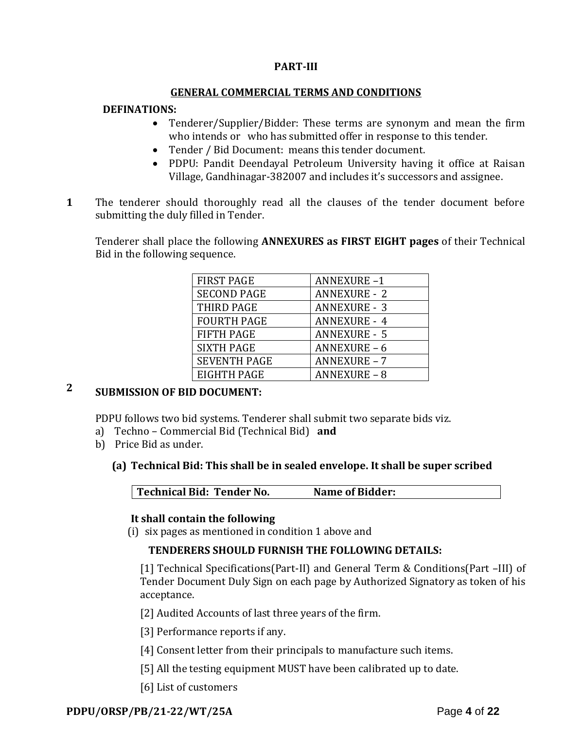#### **PART-III**

#### **GENERAL COMMERCIAL TERMS AND CONDITIONS**

#### **DEFINATIONS:**

- Tenderer/Supplier/Bidder: These terms are synonym and mean the firm who intends or who has submitted offer in response to this tender.
- Tender / Bid Document: means this tender document.
- PDPU: Pandit Deendayal Petroleum University having it office at Raisan Village, Gandhinagar-382007 and includes it's successors and assignee.
- **1**1. The tenderer should thoroughly read all the clauses of the tender document before submitting the duly filled in Tender.

Tenderer shall place the following **ANNEXURES as FIRST EIGHT pages** of their Technical Bid in the following sequence.

| <b>FIRST PAGE</b>   | <b>ANNEXURE-1</b>   |
|---------------------|---------------------|
| <b>SECOND PAGE</b>  | <b>ANNEXURE - 2</b> |
| THIRD PAGE          | <b>ANNEXURE - 3</b> |
| <b>FOURTH PAGE</b>  | <b>ANNEXURE - 4</b> |
| <b>FIFTH PAGE</b>   | <b>ANNEXURE - 5</b> |
| <b>SIXTH PAGE</b>   | <b>ANNEXURE - 6</b> |
| <b>SEVENTH PAGE</b> | <b>ANNEXURE - 7</b> |
| <b>EIGHTH PAGE</b>  | <b>ANNEXURE - 8</b> |

# **2 SUBMISSION OF BID DOCUMENT:**

PDPU follows two bid systems. Tenderer shall submit two separate bids viz.

- a) Techno Commercial Bid (Technical Bid) **and**
- b) Price Bid as under.

#### **(a) Technical Bid: This shall be in sealed envelope. It shall be super scribed**

**Technical Bid: Tender No. Name of Bidder:**

#### **It shall contain the following**

(i) six pages as mentioned in condition 1 above and

#### **TENDERERS SHOULD FURNISH THE FOLLOWING DETAILS:**

[1] Technical Specifications(Part-II) and General Term & Conditions(Part –III) of Tender Document Duly Sign on each page by Authorized Signatory as token of his acceptance.

[2] Audited Accounts of last three years of the firm.

[3] Performance reports if any.

- [4] Consent letter from their principals to manufacture such items.
- [5] All the testing equipment MUST have been calibrated up to date.
- [6] List of customers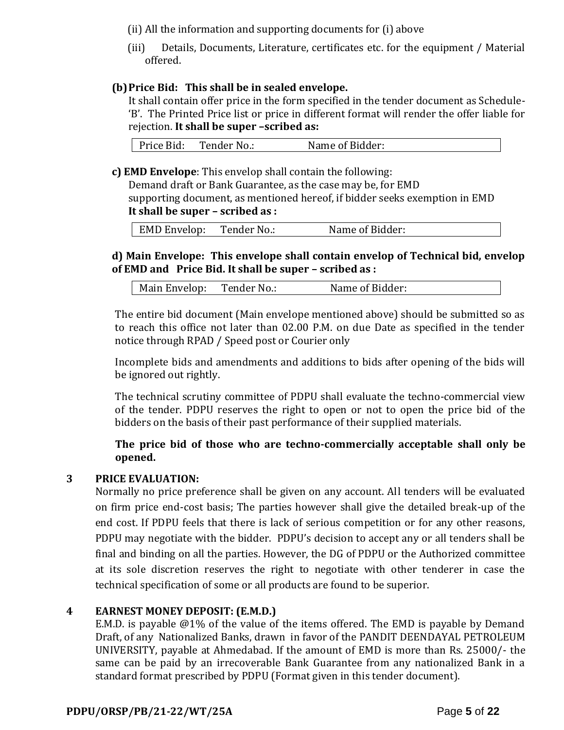(ii) All the information and supporting documents for (i) above

(iii) Details, Documents, Literature, certificates etc. for the equipment / Material offered.

### **(b)Price Bid: This shall be in sealed envelope.**

It shall contain offer price in the form specified in the tender document as Schedule- 'B'. The Printed Price list or price in different format will render the offer liable for rejection. **It shall be super –scribed as:**

| Price Bid:<br>Tender No.: | Name of Bidder: |  |
|---------------------------|-----------------|--|
|---------------------------|-----------------|--|

**c) EMD Envelope**: This envelop shall contain the following:

Demand draft or Bank Guarantee, as the case may be, for EMD supporting document, as mentioned hereof, if bidder seeks exemption in EMD **It shall be super – scribed as :**

| <b>EMD Envelop:</b> | Tender No.: | Name of Bidder: |
|---------------------|-------------|-----------------|
|                     |             |                 |

### **d) Main Envelope: This envelope shall contain envelop of Technical bid, envelop of EMD and Price Bid. It shall be super – scribed as :**

| Main Envelop:<br>Tender No.: | Name of Bidder: |
|------------------------------|-----------------|
|------------------------------|-----------------|

The entire bid document (Main envelope mentioned above) should be submitted so as to reach this office not later than 02.00 P.M. on due Date as specified in the tender notice through RPAD / Speed post or Courier only

Incomplete bids and amendments and additions to bids after opening of the bids will be ignored out rightly.

The technical scrutiny committee of PDPU shall evaluate the techno-commercial view of the tender. PDPU reserves the right to open or not to open the price bid of the bidders on the basis of their past performance of their supplied materials.

### **The price bid of those who are techno-commercially acceptable shall only be opened.**

### **3 PRICE EVALUATION:**

Normally no price preference shall be given on any account. All tenders will be evaluated on firm price end-cost basis; The parties however shall give the detailed break-up of the end cost. If PDPU feels that there is lack of serious competition or for any other reasons, PDPU may negotiate with the bidder. PDPU's decision to accept any or all tenders shall be final and binding on all the parties. However, the DG of PDPU or the Authorized committee at its sole discretion reserves the right to negotiate with other tenderer in case the technical specification of some or all products are found to be superior.

#### **4 EARNEST MONEY DEPOSIT: (E.M.D.)**

E.M.D. is payable @1% of the value of the items offered. The EMD is payable by Demand Draft, of any Nationalized Banks, drawn in favor of the PANDIT DEENDAYAL PETROLEUM UNIVERSITY, payable at Ahmedabad. If the amount of EMD is more than Rs. 25000/- the same can be paid by an irrecoverable Bank Guarantee from any nationalized Bank in a standard format prescribed by PDPU (Format given in this tender document).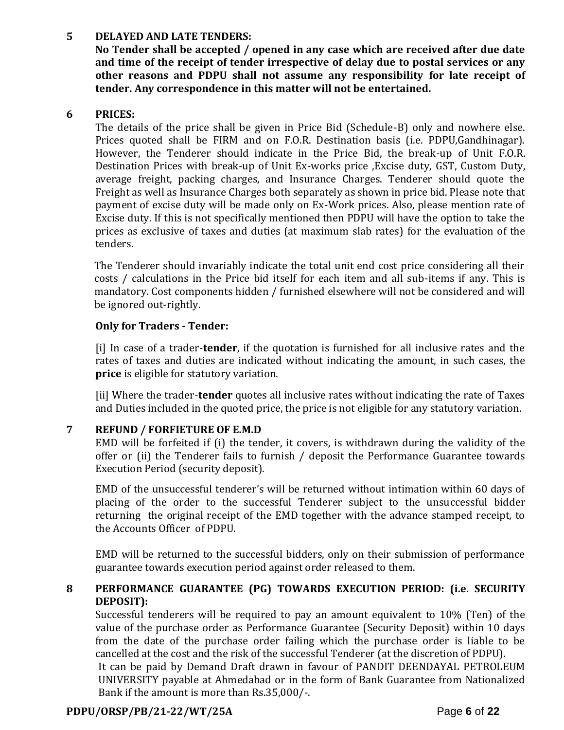#### **5 DELAYED AND LATE TENDERS:**

**No Tender shall be accepted / opened in any case which are received after due date and time of the receipt of tender irrespective of delay due to postal services or any other reasons and PDPU shall not assume any responsibility for late receipt of tender. Any correspondence in this matter will not be entertained.**

### **6 PRICES:**

The details of the price shall be given in Price Bid (Schedule-B) only and nowhere else. Prices quoted shall be FIRM and on F.O.R. Destination basis (i.e. PDPU,Gandhinagar). However, the Tenderer should indicate in the Price Bid, the break-up of Unit F.O.R. Destination Prices with break-up of Unit Ex-works price ,Excise duty, GST, Custom Duty, average freight, packing charges, and Insurance Charges. Tenderer should quote the Freight as well as Insurance Charges both separately as shown in price bid. Please note that payment of excise duty will be made only on Ex-Work prices. Also, please mention rate of Excise duty. If this is not specifically mentioned then PDPU will have the option to take the prices as exclusive of taxes and duties (at maximum slab rates) for the evaluation of the tenders.

The Tenderer should invariably indicate the total unit end cost price considering all their costs / calculations in the Price bid itself for each item and all sub-items if any. This is mandatory. Cost components hidden / furnished elsewhere will not be considered and will be ignored out-rightly.

### **Only for Traders - Tender:**

[i] In case of a trader-**tender**, if the quotation is furnished for all inclusive rates and the rates of taxes and duties are indicated without indicating the amount, in such cases, the **price** is eligible for statutory variation.

[ii] Where the trader-**tender** quotes all inclusive rates without indicating the rate of Taxes and Duties included in the quoted price, the price is not eligible for any statutory variation.

### **7 REFUND / FORFIETURE OF E.M.D**

EMD will be forfeited if (i) the tender, it covers, is withdrawn during the validity of the offer or (ii) the Tenderer fails to furnish / deposit the Performance Guarantee towards Execution Period (security deposit).

EMD of the unsuccessful tenderer's will be returned without intimation within 60 days of placing of the order to the successful Tenderer subject to the unsuccessful bidder returning the original receipt of the EMD together with the advance stamped receipt, to the Accounts Officer of PDPU.

EMD will be returned to the successful bidders, only on their submission of performance guarantee towards execution period against order released to them.

### **8 PERFORMANCE GUARANTEE (PG) TOWARDS EXECUTION PERIOD: (i.e. SECURITY DEPOSIT):**

Successful tenderers will be required to pay an amount equivalent to 10% (Ten) of the value of the purchase order as Performance Guarantee (Security Deposit) within 10 days from the date of the purchase order failing which the purchase order is liable to be cancelled at the cost and the risk of the successful Tenderer (at the discretion of PDPU).

It can be paid by Demand Draft drawn in favour of PANDIT DEENDAYAL PETROLEUM UNIVERSITY payable at Ahmedabad or in the form of Bank Guarantee from Nationalized Bank if the amount is more than Rs.35,000/-.

## **PDPU/ORSP/PB/21-22/WT/25A** Page **6** of **22**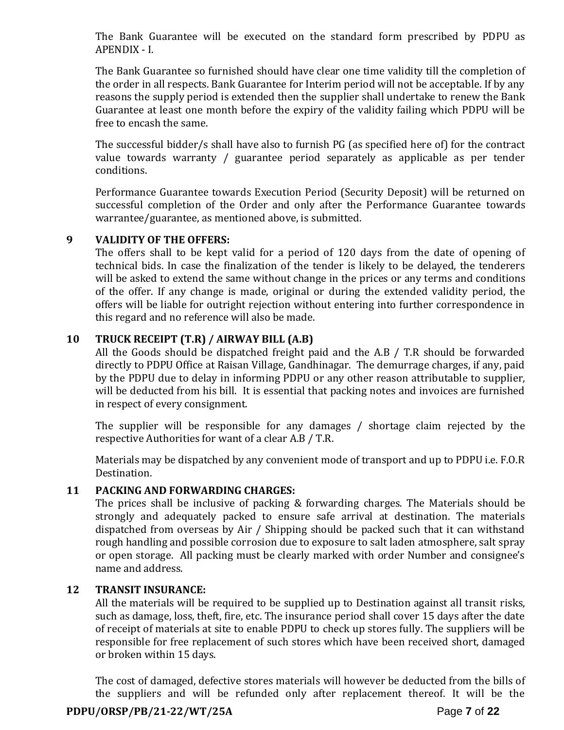The Bank Guarantee will be executed on the standard form prescribed by PDPU as APENDIX - I.

The Bank Guarantee so furnished should have clear one time validity till the completion of the order in all respects. Bank Guarantee for Interim period will not be acceptable. If by any reasons the supply period is extended then the supplier shall undertake to renew the Bank Guarantee at least one month before the expiry of the validity failing which PDPU will be free to encash the same.

The successful bidder/s shall have also to furnish PG (as specified here of) for the contract value towards warranty / guarantee period separately as applicable as per tender conditions.

Performance Guarantee towards Execution Period (Security Deposit) will be returned on successful completion of the Order and only after the Performance Guarantee towards warrantee/guarantee, as mentioned above, is submitted.

#### **9 VALIDITY OF THE OFFERS:**

The offers shall to be kept valid for a period of 120 days from the date of opening of technical bids. In case the finalization of the tender is likely to be delayed, the tenderers will be asked to extend the same without change in the prices or any terms and conditions of the offer. If any change is made, original or during the extended validity period, the offers will be liable for outright rejection without entering into further correspondence in this regard and no reference will also be made.

### **10 TRUCK RECEIPT (T.R) / AIRWAY BILL (A.B)**

All the Goods should be dispatched freight paid and the A.B / T.R should be forwarded directly to PDPU Office at Raisan Village, Gandhinagar. The demurrage charges, if any, paid by the PDPU due to delay in informing PDPU or any other reason attributable to supplier, will be deducted from his bill. It is essential that packing notes and invoices are furnished in respect of every consignment.

The supplier will be responsible for any damages / shortage claim rejected by the respective Authorities for want of a clear A.B / T.R.

Materials may be dispatched by any convenient mode of transport and up to PDPU i.e. F.O.R Destination.

### **11 PACKING AND FORWARDING CHARGES:**

The prices shall be inclusive of packing & forwarding charges. The Materials should be strongly and adequately packed to ensure safe arrival at destination. The materials dispatched from overseas by Air / Shipping should be packed such that it can withstand rough handling and possible corrosion due to exposure to salt laden atmosphere, salt spray or open storage. All packing must be clearly marked with order Number and consignee's name and address.

#### **12 TRANSIT INSURANCE:**

All the materials will be required to be supplied up to Destination against all transit risks, such as damage, loss, theft, fire, etc. The insurance period shall cover 15 days after the date of receipt of materials at site to enable PDPU to check up stores fully. The suppliers will be responsible for free replacement of such stores which have been received short, damaged or broken within 15 days.

The cost of damaged, defective stores materials will however be deducted from the bills of the suppliers and will be refunded only after replacement thereof. It will be the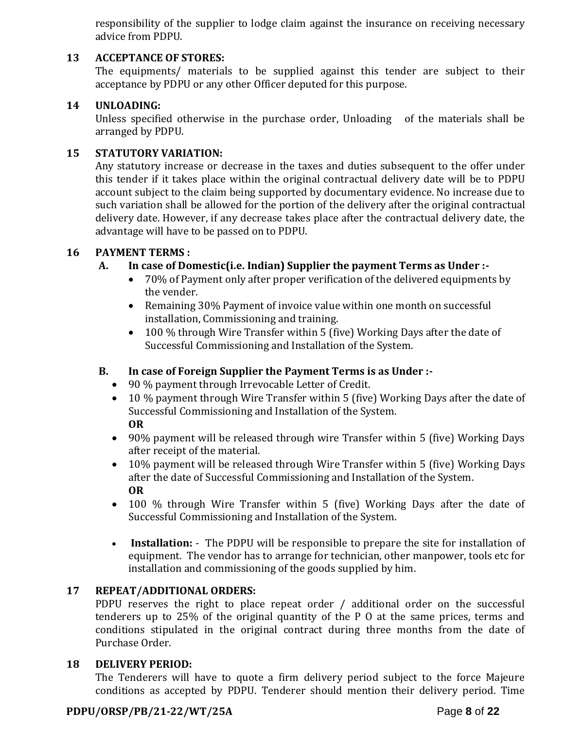responsibility of the supplier to lodge claim against the insurance on receiving necessary advice from PDPU.

### **13 ACCEPTANCE OF STORES:**

The equipments/ materials to be supplied against this tender are subject to their acceptance by PDPU or any other Officer deputed for this purpose.

#### **14 UNLOADING:**

Unless specified otherwise in the purchase order, Unloading of the materials shall be arranged by PDPU.

#### **15 STATUTORY VARIATION:**

Any statutory increase or decrease in the taxes and duties subsequent to the offer under this tender if it takes place within the original contractual delivery date will be to PDPU account subject to the claim being supported by documentary evidence. No increase due to such variation shall be allowed for the portion of the delivery after the original contractual delivery date. However, if any decrease takes place after the contractual delivery date, the advantage will have to be passed on to PDPU.

### **16 PAYMENT TERMS :**

### **A. In case of Domestic(i.e. Indian) Supplier the payment Terms as Under :-**

- 70% of Payment only after proper verification of the delivered equipments by the vender.
- Remaining 30% Payment of invoice value within one month on successful installation, Commissioning and training.
- 100 % through Wire Transfer within 5 (five) Working Days after the date of Successful Commissioning and Installation of the System.

### **B. In case of Foreign Supplier the Payment Terms is as Under :-**

- 90 % payment through Irrevocable Letter of Credit.
- 10 % payment through Wire Transfer within 5 (five) Working Days after the date of Successful Commissioning and Installation of the System. **OR**
- 90% payment will be released through wire Transfer within 5 (five) Working Days after receipt of the material.
- 10% payment will be released through Wire Transfer within 5 (five) Working Days after the date of Successful Commissioning and Installation of the System. **OR**
- 100 % through Wire Transfer within 5 (five) Working Days after the date of Successful Commissioning and Installation of the System.
- **Installation:** The PDPU will be responsible to prepare the site for installation of equipment. The vendor has to arrange for technician, other manpower, tools etc for installation and commissioning of the goods supplied by him.

#### **17 REPEAT/ADDITIONAL ORDERS:**

PDPU reserves the right to place repeat order / additional order on the successful tenderers up to 25% of the original quantity of the P O at the same prices, terms and conditions stipulated in the original contract during three months from the date of Purchase Order.

#### **18 DELIVERY PERIOD:**

The Tenderers will have to quote a firm delivery period subject to the force Majeure conditions as accepted by PDPU. Tenderer should mention their delivery period. Time

#### **PDPU/ORSP/PB/21-22/WT/25A** Page **8** of **22**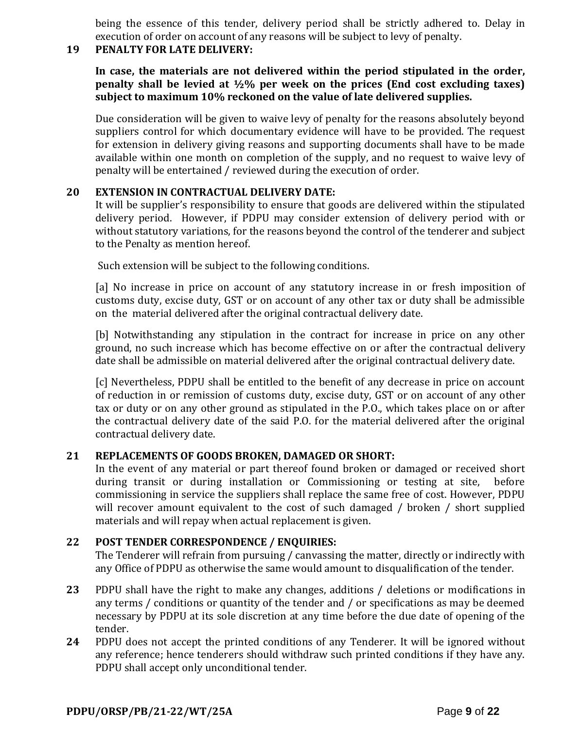being the essence of this tender, delivery period shall be strictly adhered to. Delay in execution of order on account of any reasons will be subject to levy of penalty.

#### **19 PENALTY FOR LATE DELIVERY:**

**In case, the materials are not delivered within the period stipulated in the order, penalty shall be levied at ½% per week on the prices (End cost excluding taxes) subject to maximum 10% reckoned on the value of late delivered supplies.**

Due consideration will be given to waive levy of penalty for the reasons absolutely beyond suppliers control for which documentary evidence will have to be provided. The request for extension in delivery giving reasons and supporting documents shall have to be made available within one month on completion of the supply, and no request to waive levy of penalty will be entertained / reviewed during the execution of order.

### **20 EXTENSION IN CONTRACTUAL DELIVERY DATE:**

It will be supplier's responsibility to ensure that goods are delivered within the stipulated delivery period. However, if PDPU may consider extension of delivery period with or without statutory variations, for the reasons beyond the control of the tenderer and subject to the Penalty as mention hereof.

Such extension will be subject to the following conditions.

[a] No increase in price on account of any statutory increase in or fresh imposition of customs duty, excise duty, GST or on account of any other tax or duty shall be admissible on the material delivered after the original contractual delivery date.

[b] Notwithstanding any stipulation in the contract for increase in price on any other ground, no such increase which has become effective on or after the contractual delivery date shall be admissible on material delivered after the original contractual delivery date.

[c] Nevertheless, PDPU shall be entitled to the benefit of any decrease in price on account of reduction in or remission of customs duty, excise duty, GST or on account of any other tax or duty or on any other ground as stipulated in the P.O., which takes place on or after the contractual delivery date of the said P.O. for the material delivered after the original contractual delivery date.

### **21 REPLACEMENTS OF GOODS BROKEN, DAMAGED OR SHORT:**

In the event of any material or part thereof found broken or damaged or received short during transit or during installation or Commissioning or testing at site, before commissioning in service the suppliers shall replace the same free of cost. However, PDPU will recover amount equivalent to the cost of such damaged / broken / short supplied materials and will repay when actual replacement is given.

### **22 POST TENDER CORRESPONDENCE / ENQUIRIES:**

The Tenderer will refrain from pursuing / canvassing the matter, directly or indirectly with any Office of PDPU as otherwise the same would amount to disqualification of the tender.

- **23** PDPU shall have the right to make any changes, additions / deletions or modifications in any terms / conditions or quantity of the tender and / or specifications as may be deemed necessary by PDPU at its sole discretion at any time before the due date of opening of the tender.
- **24** PDPU does not accept the printed conditions of any Tenderer. It will be ignored without any reference; hence tenderers should withdraw such printed conditions if they have any. PDPU shall accept only unconditional tender.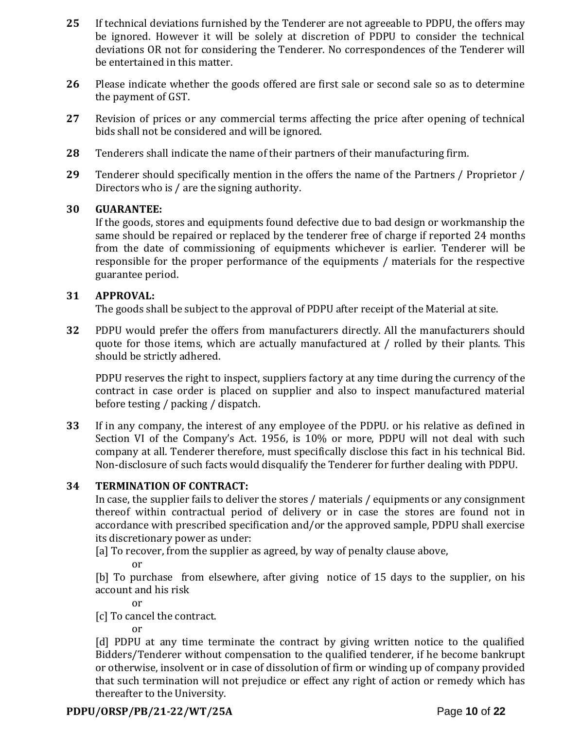- **25** If technical deviations furnished by the Tenderer are not agreeable to PDPU, the offers may be ignored. However it will be solely at discretion of PDPU to consider the technical deviations OR not for considering the Tenderer. No correspondences of the Tenderer will be entertained in this matter.
- **26** Please indicate whether the goods offered are first sale or second sale so as to determine the payment of GST.
- **27** Revision of prices or any commercial terms affecting the price after opening of technical bids shall not be considered and will be ignored.
- **28** Tenderers shall indicate the name of their partners of their manufacturing firm.
- **29** Tenderer should specifically mention in the offers the name of the Partners / Proprietor / Directors who is / are the signing authority.

#### **30 GUARANTEE:**

If the goods, stores and equipments found defective due to bad design or workmanship the same should be repaired or replaced by the tenderer free of charge if reported 24 months from the date of commissioning of equipments whichever is earlier. Tenderer will be responsible for the proper performance of the equipments / materials for the respective guarantee period.

### **31 APPROVAL:**

The goods shall be subject to the approval of PDPU after receipt of the Material at site.

**32** PDPU would prefer the offers from manufacturers directly. All the manufacturers should quote for those items, which are actually manufactured at / rolled by their plants. This should be strictly adhered.

PDPU reserves the right to inspect, suppliers factory at any time during the currency of the contract in case order is placed on supplier and also to inspect manufactured material before testing / packing / dispatch.

**33** If in any company, the interest of any employee of the PDPU. or his relative as defined in Section VI of the Company's Act. 1956, is 10% or more, PDPU will not deal with such company at all. Tenderer therefore, must specifically disclose this fact in his technical Bid. Non-disclosure of such facts would disqualify the Tenderer for further dealing with PDPU.

#### **34 TERMINATION OF CONTRACT:**

In case, the supplier fails to deliver the stores / materials / equipments or any consignment thereof within contractual period of delivery or in case the stores are found not in accordance with prescribed specification and/or the approved sample, PDPU shall exercise its discretionary power as under:

[a] To recover, from the supplier as agreed, by way of penalty clause above,

or

[b] To purchase from elsewhere, after giving notice of 15 days to the supplier, on his account and his risk

or

[c] To cancel the contract.

or

[d] PDPU at any time terminate the contract by giving written notice to the qualified Bidders/Tenderer without compensation to the qualified tenderer, if he become bankrupt or otherwise, insolvent or in case of dissolution of firm or winding up of company provided that such termination will not prejudice or effect any right of action or remedy which has thereafter to the University.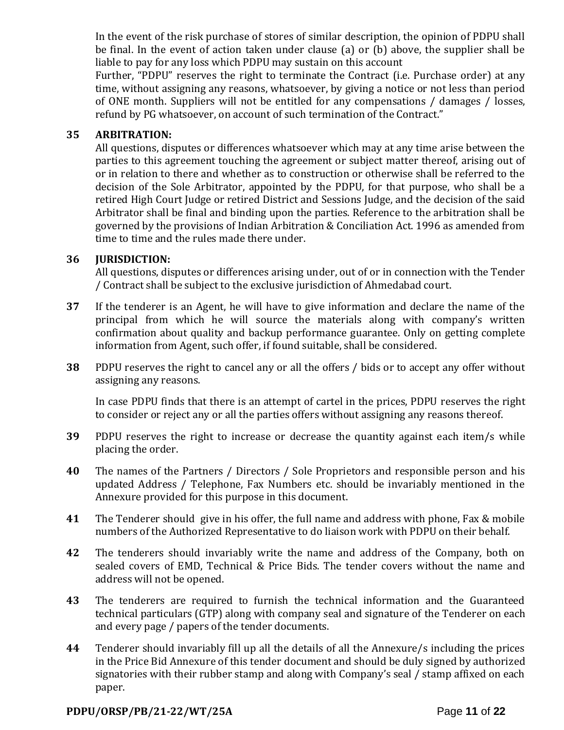In the event of the risk purchase of stores of similar description, the opinion of PDPU shall be final. In the event of action taken under clause (a) or (b) above, the supplier shall be liable to pay for any loss which PDPU may sustain on this account

Further, "PDPU" reserves the right to terminate the Contract (i.e. Purchase order) at any time, without assigning any reasons, whatsoever, by giving a notice or not less than period of ONE month. Suppliers will not be entitled for any compensations / damages / losses, refund by PG whatsoever, on account of such termination of the Contract."

### **35 ARBITRATION:**

All questions, disputes or differences whatsoever which may at any time arise between the parties to this agreement touching the agreement or subject matter thereof, arising out of or in relation to there and whether as to construction or otherwise shall be referred to the decision of the Sole Arbitrator, appointed by the PDPU, for that purpose, who shall be a retired High Court Judge or retired District and Sessions Judge, and the decision of the said Arbitrator shall be final and binding upon the parties. Reference to the arbitration shall be governed by the provisions of Indian Arbitration & Conciliation Act. 1996 as amended from time to time and the rules made there under.

#### **36 JURISDICTION:**

All questions, disputes or differences arising under, out of or in connection with the Tender / Contract shall be subject to the exclusive jurisdiction of Ahmedabad court.

- **37** If the tenderer is an Agent, he will have to give information and declare the name of the principal from which he will source the materials along with company's written confirmation about quality and backup performance guarantee. Only on getting complete information from Agent, such offer, if found suitable, shall be considered.
- **38** PDPU reserves the right to cancel any or all the offers / bids or to accept any offer without assigning any reasons.

In case PDPU finds that there is an attempt of cartel in the prices, PDPU reserves the right to consider or reject any or all the parties offers without assigning any reasons thereof.

- **39** PDPU reserves the right to increase or decrease the quantity against each item/s while placing the order.
- **40** The names of the Partners / Directors / Sole Proprietors and responsible person and his updated Address / Telephone, Fax Numbers etc. should be invariably mentioned in the Annexure provided for this purpose in this document.
- **41** The Tenderer should give in his offer, the full name and address with phone, Fax & mobile numbers of the Authorized Representative to do liaison work with PDPU on their behalf.
- **42** The tenderers should invariably write the name and address of the Company, both on sealed covers of EMD, Technical & Price Bids. The tender covers without the name and address will not be opened.
- **43** The tenderers are required to furnish the technical information and the Guaranteed technical particulars (GTP) along with company seal and signature of the Tenderer on each and every page / papers of the tender documents.
- **44** Tenderer should invariably fill up all the details of all the Annexure/s including the prices in the Price Bid Annexure of this tender document and should be duly signed by authorized signatories with their rubber stamp and along with Company's seal / stamp affixed on each paper.

### **PDPU/ORSP/PB/21-22/WT/25A** Page **11** of **22**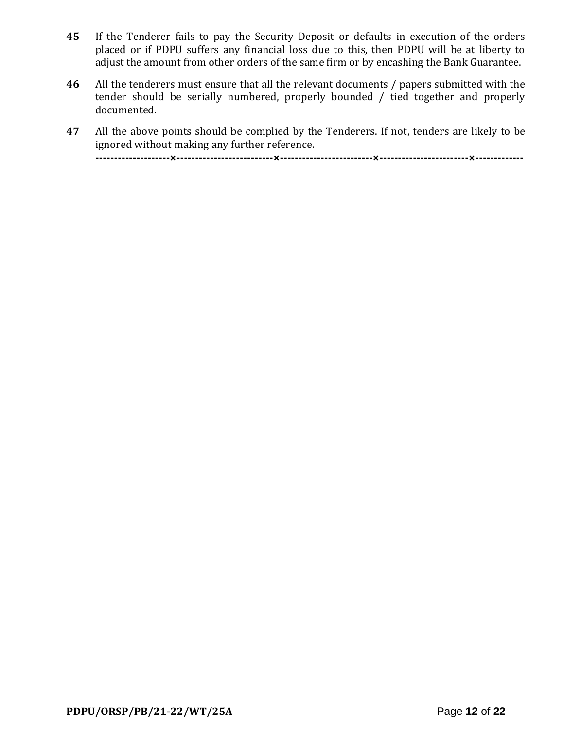- **45** If the Tenderer fails to pay the Security Deposit or defaults in execution of the orders placed or if PDPU suffers any financial loss due to this, then PDPU will be at liberty to adjust the amount from other orders of the same firm or by encashing the Bank Guarantee.
- **46** All the tenderers must ensure that all the relevant documents / papers submitted with the tender should be serially numbered, properly bounded / tied together and properly documented.
- **47** All the above points should be complied by the Tenderers. If not, tenders are likely to be ignored without making any further reference. **--------------------×--------------------------×-------------------------×------------------------×-------------**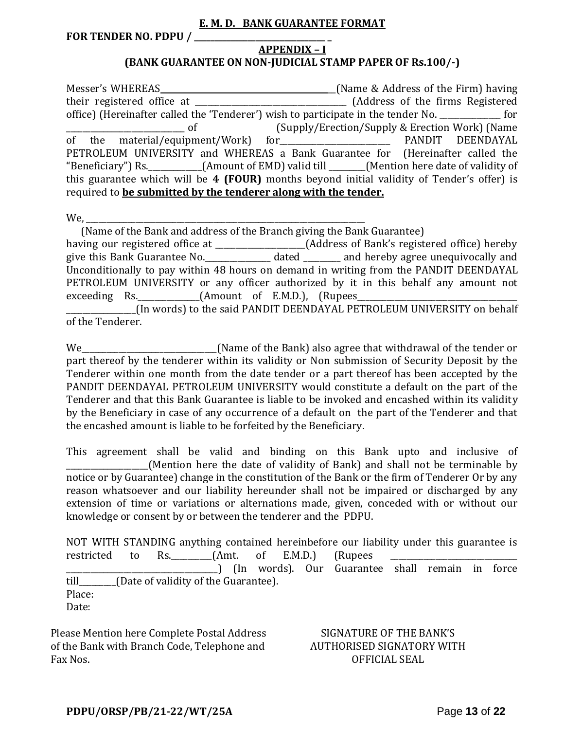#### **E. M. D. BANK GUARANTEE FORMAT**

**FOR TENDER NO. PDPU / \_\_\_\_\_\_\_\_\_\_\_\_\_\_\_\_\_\_\_\_\_\_\_\_\_\_\_\_\_\_\_\_ \_**

#### **APPENDIX – I**

#### **(BANK GUARANTEE ON NON-JUDICIAL STAMP PAPER OF Rs.100/-)**

Messer's WHEREAS \_\_\_\_\_\_\_\_\_\_\_\_\_\_\_\_\_\_\_\_\_\_\_\_\_\_\_\_\_\_\_\_\_\_\_\_\_\_\_\_\_\_(Name & Address of the Firm) having their registered office at \_\_\_\_\_\_\_\_\_\_\_\_\_\_\_\_\_\_\_\_\_\_\_\_\_\_\_\_\_\_\_\_\_\_\_\_\_ (Address of the firms Registered office) (Hereinafter called the 'Tenderer') wish to participate in the tender No. \_\_\_\_\_\_\_\_\_\_\_\_\_\_\_ for \_\_\_\_\_\_\_\_\_\_\_\_\_\_\_\_\_\_\_\_\_\_\_\_\_\_\_\_\_ of (Supply/Erection/Supply & Erection Work) (Name of the material/equipment/Work) for\_\_\_\_\_\_\_\_\_\_\_\_\_\_\_\_\_\_\_\_\_\_\_\_\_\_\_ PANDIT DEENDAYAL PETROLEUM UNIVERSITY and WHEREAS a Bank Guarantee for (Hereinafter called the "Beneficiary") Rs.\_\_\_\_\_\_\_\_\_\_\_\_\_(Amount of EMD) valid till \_\_\_\_\_\_\_\_\_(Mention here date of validity of this guarantee which will be **4 (FOUR)** months beyond initial validity of Tender's offer) is required to **be submitted by the tenderer along with the tender.**

 $We,$ 

 (Name of the Bank and address of the Branch giving the Bank Guarantee) having our registered office at \_\_\_\_\_\_\_\_\_\_\_\_\_\_\_\_\_\_\_\_\_\_(Address of Bank's registered office) hereby give this Bank Guarantee No.\_\_\_\_\_\_\_\_\_\_\_\_\_\_\_\_ dated \_\_\_\_\_\_\_\_\_ and hereby agree unequivocally and Unconditionally to pay within 48 hours on demand in writing from the PANDIT DEENDAYAL PETROLEUM UNIVERSITY or any officer authorized by it in this behalf any amount not exceeding Rs. \_\_\_\_\_\_\_\_\_\_\_\_\_\_\_(Amount of E.M.D.), (Rupees\_\_\_\_\_\_\_\_\_\_\_\_\_\_\_\_\_\_\_\_\_\_\_\_\_

\_\_\_\_\_\_\_\_\_\_\_\_\_\_\_\_\_(In words) to the said PANDIT DEENDAYAL PETROLEUM UNIVERSITY on behalf of the Tenderer.

We <u>Election Community (Name of the Bank)</u> also agree that withdrawal of the tender or part thereof by the tenderer within its validity or Non submission of Security Deposit by the Tenderer within one month from the date tender or a part thereof has been accepted by the PANDIT DEENDAYAL PETROLEUM UNIVERSITY would constitute a default on the part of the Tenderer and that this Bank Guarantee is liable to be invoked and encashed within its validity by the Beneficiary in case of any occurrence of a default on the part of the Tenderer and that the encashed amount is liable to be forfeited by the Beneficiary.

This agreement shall be valid and binding on this Bank upto and inclusive of (Mention here the date of validity of Bank) and shall not be terminable by notice or by Guarantee) change in the constitution of the Bank or the firm of Tenderer Or by any reason whatsoever and our liability hereunder shall not be impaired or discharged by any extension of time or variations or alternations made, given, conceded with or without our knowledge or consent by or between the tenderer and the PDPU.

NOT WITH STANDING anything contained hereinbefore our liability under this guarantee is restricted to Rs.  $(Amt. of E.M.D.)$  (Rupees \_\_\_\_\_\_\_\_\_\_\_\_\_\_\_\_\_\_\_\_\_\_\_\_\_\_\_\_\_\_\_\_\_\_\_\_\_) (In words). Our Guarantee shall remain in force till\_\_\_\_\_\_\_\_\_(Date of validity of the Guarantee). Place: Date:

Please Mention here Complete Postal Address of the Bank with Branch Code, Telephone and Fax Nos.

SIGNATURE OF THE BANK'S AUTHORISED SIGNATORY WITH OFFICIAL SEAL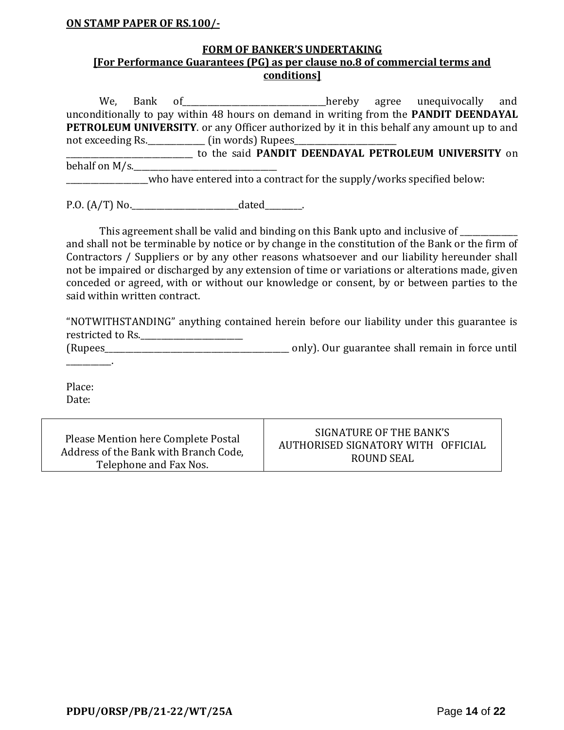#### **ON STAMP PAPER OF RS.100/-**

#### **FORM OF BANKER'S UNDERTAKING [For Performance Guarantees (PG) as per clause no.8 of commercial terms and conditions]**

We, Bank of <u>entitled and the setting and</u> thereby agree unequivocally and unconditionally to pay within 48 hours on demand in writing from the **PANDIT DEENDAYAL PETROLEUM UNIVERSITY**. or any Officer authorized by it in this behalf any amount up to and not exceeding Rs.\_\_\_\_\_\_\_\_\_\_\_\_\_\_ (in words) Rupees\_\_\_\_\_\_\_\_\_\_\_\_\_\_\_\_\_\_\_\_\_\_\_\_\_\_\_\_\_\_\_

\_\_\_\_\_\_\_\_\_\_\_\_\_\_\_\_\_\_\_\_\_\_\_\_\_\_\_\_\_\_\_ to the said **PANDIT DEENDAYAL PETROLEUM UNIVERSITY** on behalf on  $M/s$ .

who have entered into a contract for the supply/works specified below:

P.O. (A/T) No.\_\_\_\_\_\_\_\_\_\_\_\_\_\_\_\_\_\_\_\_\_\_\_\_\_\_dated\_\_\_\_\_\_\_\_\_.

This agreement shall be valid and binding on this Bank upto and inclusive of \_\_\_\_\_\_\_\_\_ and shall not be terminable by notice or by change in the constitution of the Bank or the firm of Contractors / Suppliers or by any other reasons whatsoever and our liability hereunder shall not be impaired or discharged by any extension of time or variations or alterations made, given conceded or agreed, with or without our knowledge or consent, by or between parties to the said within written contract.

"NOTWITHSTANDING" anything contained herein before our liability under this guarantee is restricted to Rs.

(Rupees\_\_\_\_\_\_\_\_\_\_\_\_\_\_\_\_\_\_\_\_\_\_\_\_\_\_\_\_\_\_\_\_\_\_\_\_\_\_\_\_\_\_\_\_\_ only). Our guarantee shall remain in force until \_\_\_\_\_\_\_\_\_\_\_.

Place: Date:

| Please Mention here Complete Postal   | SIGNATURE OF THE BANK'S            |
|---------------------------------------|------------------------------------|
| Address of the Bank with Branch Code, | AUTHORISED SIGNATORY WITH OFFICIAL |
| Telephone and Fax Nos.                | ROUND SEAL                         |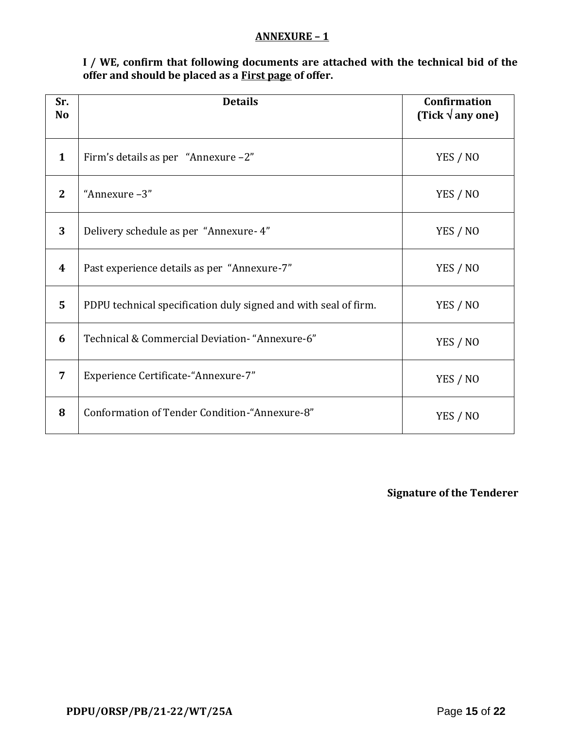#### **ANNEXURE – 1**

**I / WE, confirm that following documents are attached with the technical bid of the offer and should be placed as a First page of offer.**

| Sr.<br>N <sub>o</sub> | <b>Details</b>                                                  | <b>Confirmation</b><br>(Tick $\sqrt{$ any one) |
|-----------------------|-----------------------------------------------------------------|------------------------------------------------|
| $\mathbf{1}$          | Firm's details as per "Annexure -2"                             | YES / NO                                       |
| 2                     | "Annexure-3"                                                    | YES / NO                                       |
| 3                     | Delivery schedule as per "Annexure- 4"                          | YES / NO                                       |
| 4                     | Past experience details as per "Annexure-7"                     | YES / NO                                       |
| $\overline{5}$        | PDPU technical specification duly signed and with seal of firm. | YES / NO                                       |
| 6                     | Technical & Commercial Deviation- "Annexure-6"                  | YES / NO                                       |
| 7                     | Experience Certificate-"Annexure-7"                             | YES / NO                                       |
| 8                     | Conformation of Tender Condition-"Annexure-8"                   | YES / NO                                       |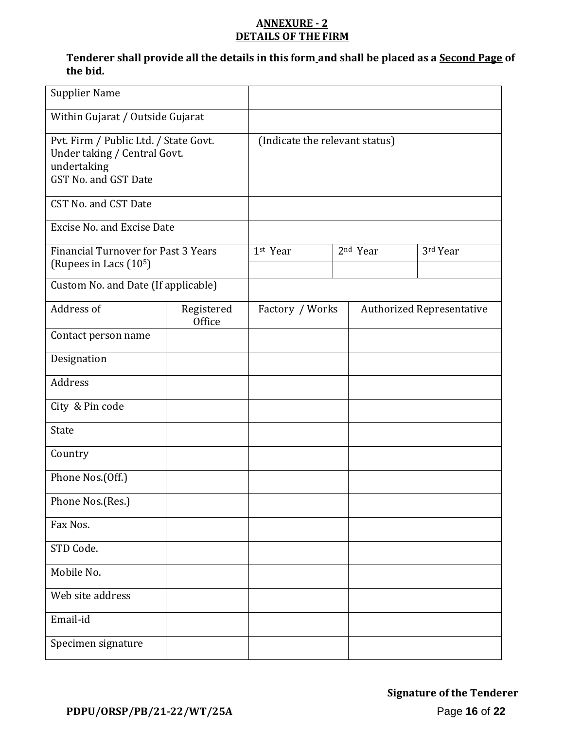### **ANNEXURE - 2 DETAILS OF THE FIRM**

### **Tenderer shall provide all the details in this form and shall be placed as a Second Page of the bid.**

| <b>Supplier Name</b>                                                                                         |                      |                                |  |                      |                                  |
|--------------------------------------------------------------------------------------------------------------|----------------------|--------------------------------|--|----------------------|----------------------------------|
| Within Gujarat / Outside Gujarat                                                                             |                      |                                |  |                      |                                  |
| Pvt. Firm / Public Ltd. / State Govt.<br>Under taking / Central Govt.<br>undertaking<br>GST No. and GST Date |                      | (Indicate the relevant status) |  |                      |                                  |
| CST No. and CST Date                                                                                         |                      |                                |  |                      |                                  |
| Excise No. and Excise Date                                                                                   |                      |                                |  |                      |                                  |
| <b>Financial Turnover for Past 3 Years</b><br>(Rupees in Lacs (10 <sup>5</sup> )                             |                      | 1st Year                       |  | 2 <sup>nd</sup> Year | 3rd Year                         |
| Custom No. and Date (If applicable)                                                                          |                      |                                |  |                      |                                  |
| Address of                                                                                                   | Registered<br>Office | Factory / Works                |  |                      | <b>Authorized Representative</b> |
| Contact person name                                                                                          |                      |                                |  |                      |                                  |
| Designation                                                                                                  |                      |                                |  |                      |                                  |
| Address                                                                                                      |                      |                                |  |                      |                                  |
| City & Pin code                                                                                              |                      |                                |  |                      |                                  |
| <b>State</b>                                                                                                 |                      |                                |  |                      |                                  |
| Country                                                                                                      |                      |                                |  |                      |                                  |
| Phone Nos.(Off.)                                                                                             |                      |                                |  |                      |                                  |
| Phone Nos.(Res.)                                                                                             |                      |                                |  |                      |                                  |
| Fax Nos.                                                                                                     |                      |                                |  |                      |                                  |
| STD Code.                                                                                                    |                      |                                |  |                      |                                  |
| Mobile No.                                                                                                   |                      |                                |  |                      |                                  |
| Web site address                                                                                             |                      |                                |  |                      |                                  |
| Email-id                                                                                                     |                      |                                |  |                      |                                  |
| Specimen signature                                                                                           |                      |                                |  |                      |                                  |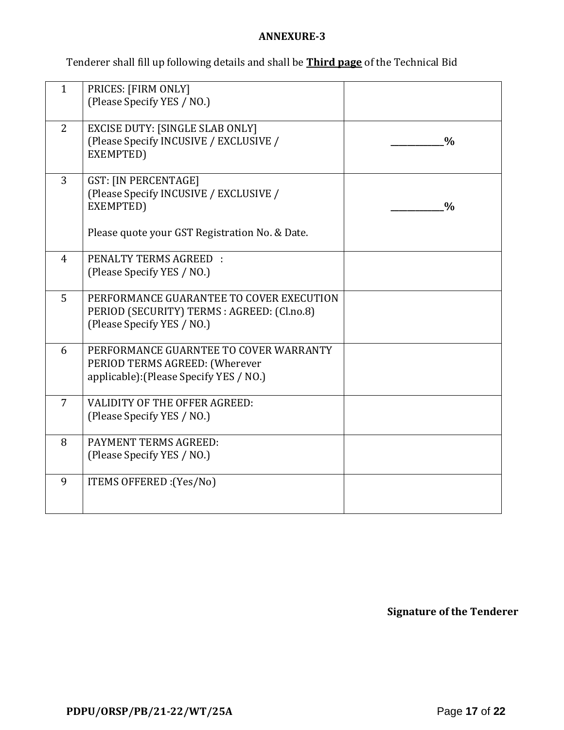#### **ANNEXURE-3**

Tenderer shall fill up following details and shall be **Third page** of the Technical Bid

| $\mathbf{1}$   | PRICES: [FIRM ONLY]<br>(Please Specify YES / NO.)                                                                                    |               |
|----------------|--------------------------------------------------------------------------------------------------------------------------------------|---------------|
| 2              | <b>EXCISE DUTY: [SINGLE SLAB ONLY]</b><br>(Please Specify INCUSIVE / EXCLUSIVE /<br>EXEMPTED)                                        | $\frac{0}{0}$ |
| 3              | <b>GST: [IN PERCENTAGE]</b><br>(Please Specify INCUSIVE / EXCLUSIVE /<br>EXEMPTED)<br>Please quote your GST Registration No. & Date. | $\frac{0}{0}$ |
| $\overline{4}$ | <b>PENALTY TERMS AGREED :</b><br>(Please Specify YES / NO.)                                                                          |               |
| 5              | PERFORMANCE GUARANTEE TO COVER EXECUTION<br>PERIOD (SECURITY) TERMS : AGREED: (Cl.no.8)<br>(Please Specify YES / NO.)                |               |
| 6              | PERFORMANCE GUARNTEE TO COVER WARRANTY<br>PERIOD TERMS AGREED: (Wherever<br>applicable): (Please Specify YES / NO.)                  |               |
| $\overline{7}$ | <b>VALIDITY OF THE OFFER AGREED:</b><br>(Please Specify YES / NO.)                                                                   |               |
| 8              | <b>PAYMENT TERMS AGREED:</b><br>(Please Specify YES / NO.)                                                                           |               |
| 9              | ITEMS OFFERED : (Yes/No)                                                                                                             |               |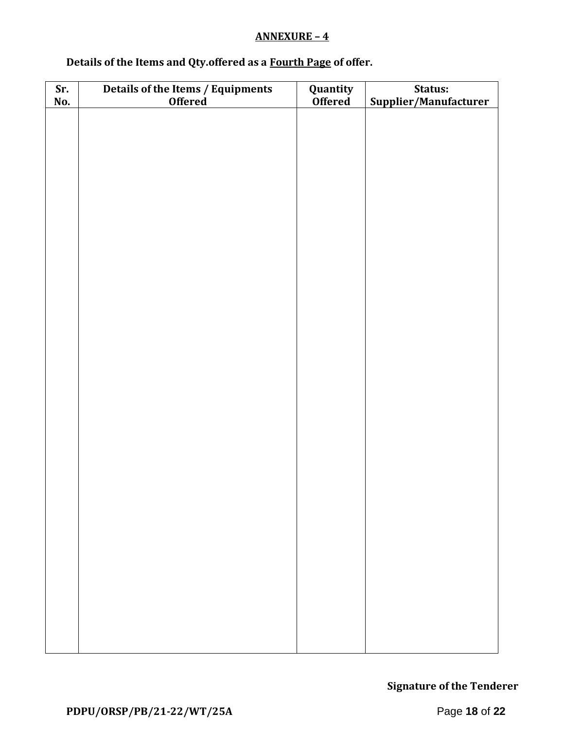#### **ANNEXURE – 4**

## **Details of the Items and Qty.offered as a Fourth Page of offer.**

| Sr.<br>No. | Details of the Items / Equipments<br>Offered | <b>Quantity</b><br><b>Offered</b> | Status:<br>Supplier/Manufacturer |
|------------|----------------------------------------------|-----------------------------------|----------------------------------|
|            |                                              |                                   |                                  |
|            |                                              |                                   |                                  |
|            |                                              |                                   |                                  |
|            |                                              |                                   |                                  |
|            |                                              |                                   |                                  |
|            |                                              |                                   |                                  |
|            |                                              |                                   |                                  |
|            |                                              |                                   |                                  |
|            |                                              |                                   |                                  |
|            |                                              |                                   |                                  |
|            |                                              |                                   |                                  |
|            |                                              |                                   |                                  |
|            |                                              |                                   |                                  |
|            |                                              |                                   |                                  |
|            |                                              |                                   |                                  |
|            |                                              |                                   |                                  |
|            |                                              |                                   |                                  |
|            |                                              |                                   |                                  |
|            |                                              |                                   |                                  |
|            |                                              |                                   |                                  |
|            |                                              |                                   |                                  |
|            |                                              |                                   |                                  |
|            |                                              |                                   |                                  |
|            |                                              |                                   |                                  |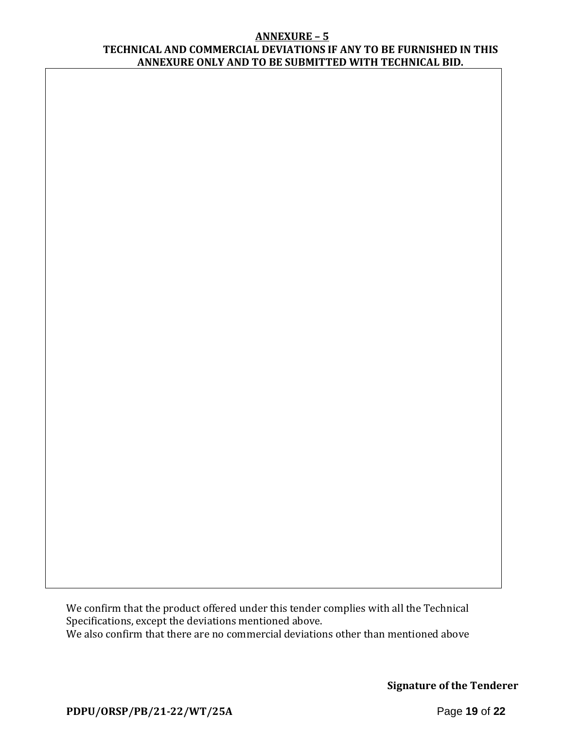#### **ANNEXURE – 5 TECHNICAL AND COMMERCIAL DEVIATIONS IF ANY TO BE FURNISHED IN THIS ANNEXURE ONLY AND TO BE SUBMITTED WITH TECHNICAL BID.**

We confirm that the product offered under this tender complies with all the Technical Specifications, except the deviations mentioned above. We also confirm that there are no commercial deviations other than mentioned above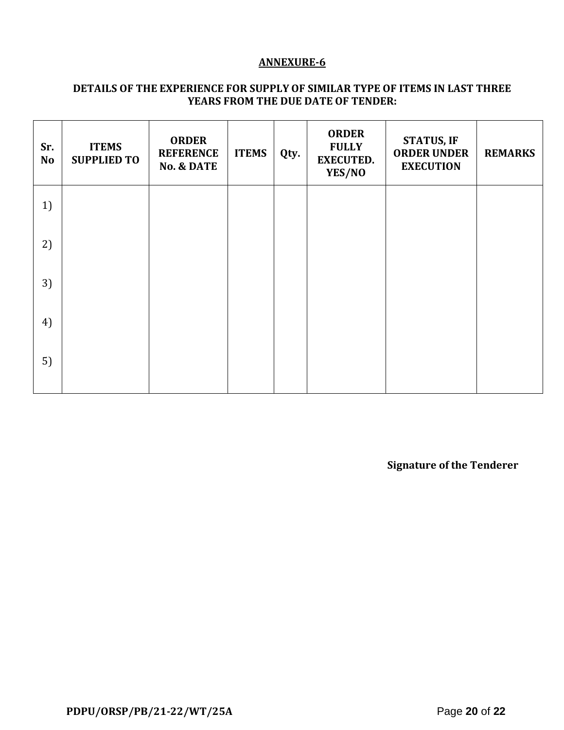#### **ANNEXURE-6**

### **DETAILS OF THE EXPERIENCE FOR SUPPLY OF SIMILAR TYPE OF ITEMS IN LAST THREE YEARS FROM THE DUE DATE OF TENDER:**

| Sr.<br><b>No</b> | <b>ITEMS</b><br><b>SUPPLIED TO</b> | <b>ORDER</b><br><b>REFERENCE</b><br><b>No. &amp; DATE</b> | <b>ITEMS</b> | Qty. | <b>ORDER</b><br><b>FULLY</b><br><b>EXECUTED.</b><br>YES/NO | <b>STATUS, IF</b><br><b>ORDER UNDER</b><br><b>EXECUTION</b> | <b>REMARKS</b> |
|------------------|------------------------------------|-----------------------------------------------------------|--------------|------|------------------------------------------------------------|-------------------------------------------------------------|----------------|
| 1)               |                                    |                                                           |              |      |                                                            |                                                             |                |
| 2)               |                                    |                                                           |              |      |                                                            |                                                             |                |
| 3)               |                                    |                                                           |              |      |                                                            |                                                             |                |
| 4)               |                                    |                                                           |              |      |                                                            |                                                             |                |
| 5)               |                                    |                                                           |              |      |                                                            |                                                             |                |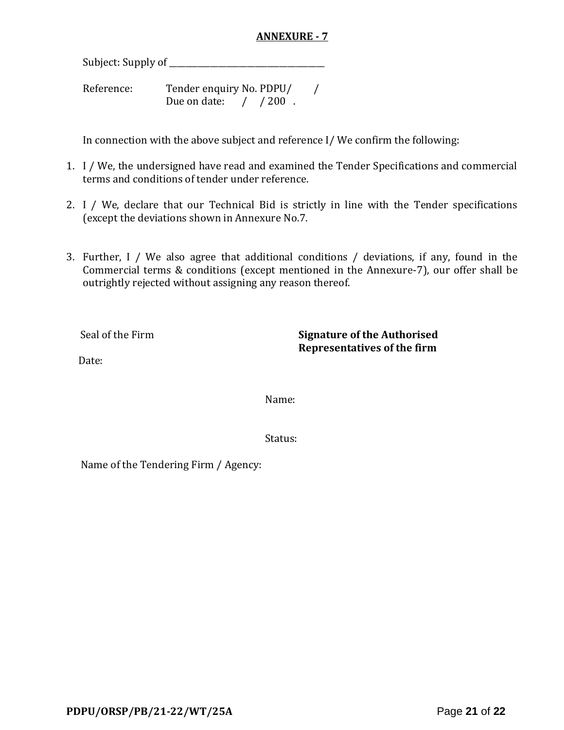#### **ANNEXURE - 7**

Subject: Supply of \_\_\_\_\_\_\_\_\_\_\_\_\_\_\_\_\_\_\_\_\_\_\_\_\_\_\_\_\_\_\_\_\_\_\_\_\_\_

Reference: Tender enquiry No. PDPU/ Due on date:  $\frac{1}{200}$ .

In connection with the above subject and reference I/ We confirm the following:

- 1. I / We, the undersigned have read and examined the Tender Specifications and commercial terms and conditions of tender under reference.
- 2. I / We, declare that our Technical Bid is strictly in line with the Tender specifications (except the deviations shown in Annexure No.7.
- 3. Further, I / We also agree that additional conditions / deviations, if any, found in the Commercial terms & conditions (except mentioned in the Annexure-7), our offer shall be outrightly rejected without assigning any reason thereof.

Seal of the Firm **Signature of the Authorised Representatives of the firm**

Date:

Name:

Status:

Name of the Tendering Firm / Agency: